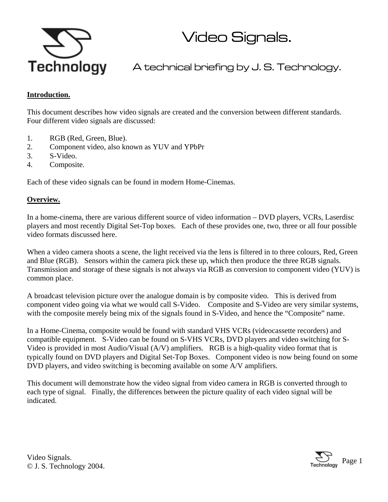

Video Signals.

A technical briefing by J. S. Technology.

### **Introduction.**

This document describes how video signals are created and the conversion between different standards. Four different video signals are discussed:

- 1. RGB (Red, Green, Blue).
- 2. Component video, also known as YUV and YPbPr
- 3. S-Video.
- 4. Composite.

Each of these video signals can be found in modern Home-Cinemas.

#### **Overview.**

In a home-cinema, there are various different source of video information – DVD players, VCRs, Laserdisc players and most recently Digital Set-Top boxes. Each of these provides one, two, three or all four possible video formats discussed here.

When a video camera shoots a scene, the light received via the lens is filtered in to three colours, Red, Green and Blue (RGB). Sensors within the camera pick these up, which then produce the three RGB signals. Transmission and storage of these signals is not always via RGB as conversion to component video (YUV) is common place.

A broadcast television picture over the analogue domain is by composite video. This is derived from component video going via what we would call S-Video. Composite and S-Video are very similar systems, with the composite merely being mix of the signals found in S-Video, and hence the "Composite" name.

In a Home-Cinema, composite would be found with standard VHS VCRs (videocassette recorders) and compatible equipment. S-Video can be found on S-VHS VCRs, DVD players and video switching for S-Video is provided in most Audio/Visual (A/V) amplifiers. RGB is a high-quality video format that is typically found on DVD players and Digital Set-Top Boxes. Component video is now being found on some DVD players, and video switching is becoming available on some A/V amplifiers.

This document will demonstrate how the video signal from video camera in RGB is converted through to each type of signal. Finally, the differences between the picture quality of each video signal will be indicated.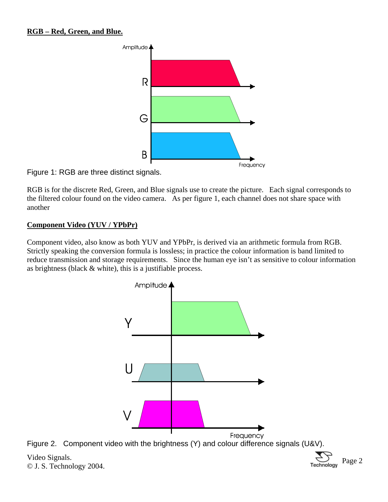### **RGB – Red, Green, and Blue.**



Figure 1: RGB are three distinct signals.

RGB is for the discrete Red, Green, and Blue signals use to create the picture. Each signal corresponds to the filtered colour found on the video camera. As per figure 1, each channel does not share space with another

### **Component Video (YUV / YPbPr)**

Component video, also know as both YUV and YPbPr, is derived via an arithmetic formula from RGB. Strictly speaking the conversion formula is lossless; in practice the colour information is band limited to reduce transmission and storage requirements. Since the human eye isn't as sensitive to colour information as brightness (black & white), this is a justifiable process.



Figure 2. Component video with the brightness (Y) and colour difference signals (U&V).

Video Signals. video Signais.  $\sum_{\text{Technology } 2004} \text{Page } 2$ 

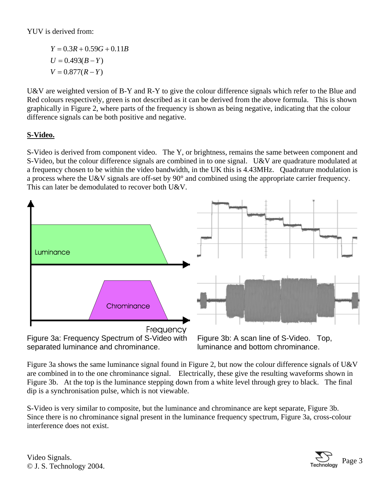# YUV is derived from:

 $V = 0.877(R - Y)$  $U = 0.493(B - Y)$  $Y = 0.3R + 0.59G + 0.11B$ 

U&V are weighted version of B-Y and R-Y to give the colour difference signals which refer to the Blue and Red colours respectively, green is not described as it can be derived from the above formula. This is shown graphically in Figure 2, where parts of the frequency is shown as being negative, indicating that the colour difference signals can be both positive and negative.

# **S-Video.**

S-Video is derived from component video. The Y, or brightness, remains the same between component and S-Video, but the colour difference signals are combined in to one signal. U&V are quadrature modulated at a frequency chosen to be within the video bandwidth, in the UK this is 4.43MHz. Quadrature modulation is a process where the U&V signals are off-set by 90° and combined using the appropriate carrier frequency. This can later be demodulated to recover both U&V.



Figure 3a: Frequency Spectrum of S-Video with separated luminance and chrominance.

Figure 3b: A scan line of S-Video. Top, luminance and bottom chrominance.

Figure 3a shows the same luminance signal found in Figure 2, but now the colour difference signals of U&V are combined in to the one chrominance signal. Electrically, these give the resulting waveforms shown in Figure 3b. At the top is the luminance stepping down from a white level through grey to black. The final dip is a synchronisation pulse, which is not viewable.

S-Video is very similar to composite, but the luminance and chrominance are kept separate, Figure 3b. Since there is no chrominance signal present in the luminance frequency spectrum, Figure 3a, cross-colour interference does not exist.

Video Signals. Video Signals.  $\sum_{\text{Technology } 2004}$  Page 3

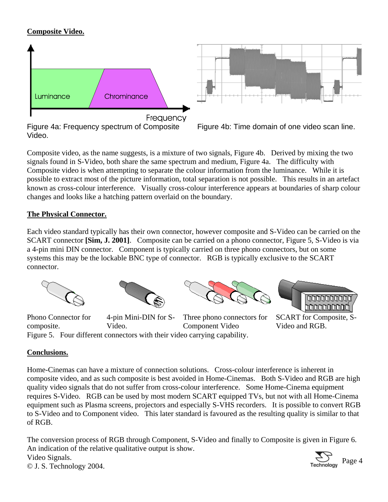## **Composite Video.**





Figure 4b: Time domain of one video scan line.

Composite video, as the name suggests, is a mixture of two signals, Figure 4b. Derived by mixing the two signals found in S-Video, both share the same spectrum and medium, Figure 4a. The difficulty with Composite video is when attempting to separate the colour information from the luminance. While it is possible to extract most of the picture information, total separation is not possible. This results in an artefact known as cross-colour interference. Visually cross-colour interference appears at boundaries of sharp colour changes and looks like a hatching pattern overlaid on the boundary.

## **The Physical Connector.**

Each video standard typically has their own connector, however composite and S-Video can be carried on the SCART connector **[Sim, J. 2001]**. Composite can be carried on a phono connector, Figure 5, S-Video is via a 4-pin mini DIN connector. Component is typically carried on three phono connectors, but on some systems this may be the lockable BNC type of connector. RGB is typically exclusive to the SCART connector.









Phono Connector for composite. 4-pin Mini-DIN for S-Video. Three phono connectors for Component Video Figure 5. Four different connectors with their video carrying capability.

SCART for Composite, S-Video and RGB.

## **Conclusions.**

Home-Cinemas can have a mixture of connection solutions. Cross-colour interference is inherent in composite video, and as such composite is best avoided in Home-Cinemas. Both S-Video and RGB are high quality video signals that do not suffer from cross-colour interference. Some Home-Cinema equipment requires S-Video. RGB can be used by most modern SCART equipped TVs, but not with all Home-Cinema equipment such as Plasma screens, projectors and especially S-VHS recorders. It is possible to convert RGB to S-Video and to Component video. This later standard is favoured as the resulting quality is similar to that of RGB.

Video Signals. Video Signals.  $\sum_{\text{Technology } 2004}$  Page 4 The conversion process of RGB through Component, S-Video and finally to Composite is given in Figure 6. An indication of the relative qualitative output is show.